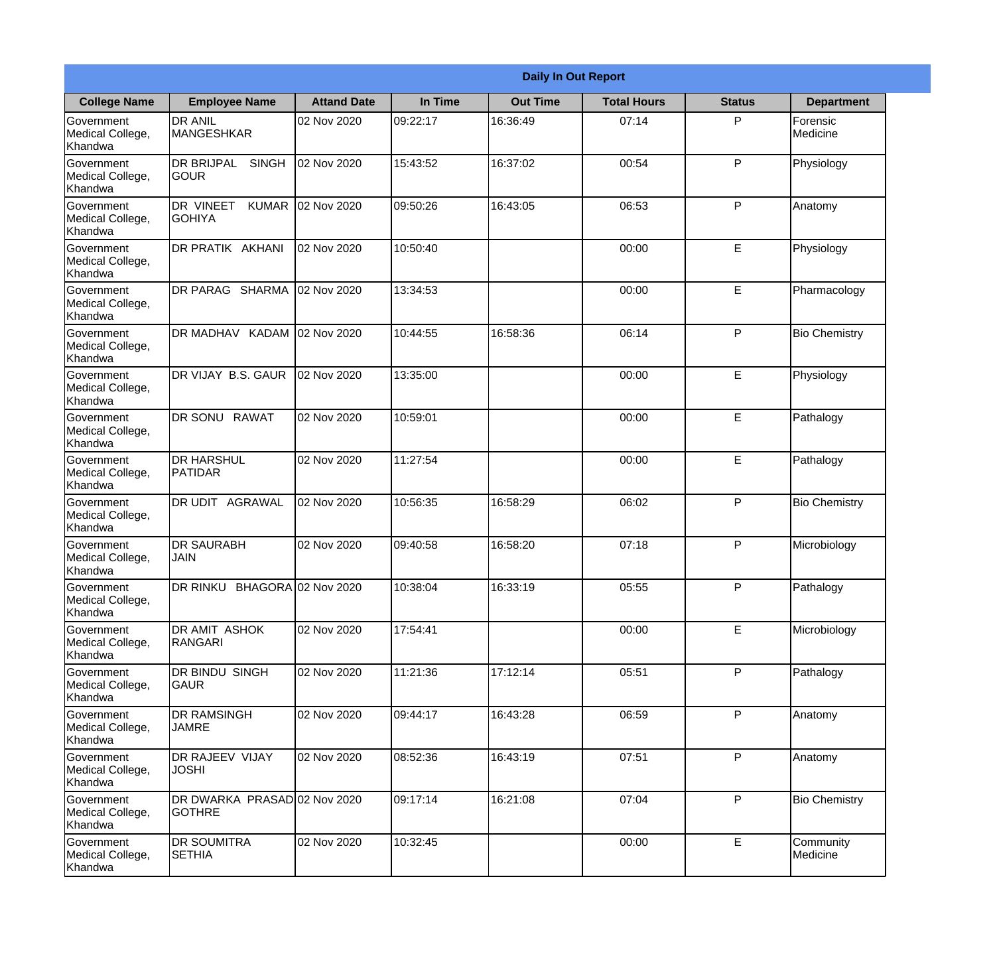|                                                  |                                                   |                    |          | <b>Daily In Out Report</b> |                    |               |                       |
|--------------------------------------------------|---------------------------------------------------|--------------------|----------|----------------------------|--------------------|---------------|-----------------------|
| <b>College Name</b>                              | <b>Employee Name</b>                              | <b>Attand Date</b> | In Time  | <b>Out Time</b>            | <b>Total Hours</b> | <b>Status</b> | <b>Department</b>     |
| Government<br>Medical College,<br>Khandwa        | <b>DR ANIL</b><br><b>MANGESHKAR</b>               | 02 Nov 2020        | 09:22:17 | 16:36:49                   | 07:14              | P             | Forensic<br>Medicine  |
| Government<br>Medical College,<br>Khandwa        | <b>DR BRIJPAL</b><br><b>SINGH</b><br> GOUR        | 02 Nov 2020        | 15:43:52 | 16:37:02                   | 00:54              | P             | Physiology            |
| <b>Government</b><br>Medical College,<br>Khandwa | <b>DR VINEET</b><br><b>KUMAR</b><br><b>GOHIYA</b> | 02 Nov 2020        | 09:50:26 | 16:43:05                   | 06:53              | P             | Anatomy               |
| <b>Government</b><br>Medical College,<br>Khandwa | <b>DR PRATIK AKHANI</b>                           | 02 Nov 2020        | 10:50:40 |                            | 00:00              | E             | Physiology            |
| Government<br>Medical College,<br>Khandwa        | DR PARAG SHARMA                                   | 02 Nov 2020        | 13:34:53 |                            | 00:00              | E             | Pharmacology          |
| Government<br>Medical College,<br>Khandwa        | DR MADHAV KADAM                                   | 02 Nov 2020        | 10:44:55 | 16:58:36                   | 06:14              | P             | <b>Bio Chemistry</b>  |
| <b>Government</b><br>Medical College,<br>Khandwa | DR VIJAY B.S. GAUR                                | 02 Nov 2020        | 13:35:00 |                            | 00:00              | E             | Physiology            |
| <b>Government</b><br>Medical College,<br>Khandwa | DR SONU RAWAT                                     | 02 Nov 2020        | 10:59:01 |                            | 00:00              | E             | Pathalogy             |
| Government<br>Medical College,<br>Khandwa        | <b>DR HARSHUL</b><br><b>PATIDAR</b>               | 02 Nov 2020        | 11:27:54 |                            | 00:00              | E             | Pathalogy             |
| Government<br>Medical College,<br>Khandwa        | DR UDIT AGRAWAL                                   | 02 Nov 2020        | 10:56:35 | 16:58:29                   | 06:02              | P             | <b>Bio Chemistry</b>  |
| Government<br>Medical College,<br>Khandwa        | IDR SAURABH<br><b>JAIN</b>                        | 02 Nov 2020        | 09:40:58 | 16:58:20                   | 07:18              | P             | Microbiology          |
| Government<br>Medical College,<br>Khandwa        | DR RINKU BHAGORA 02 Nov 2020                      |                    | 10:38:04 | 16:33:19                   | 05:55              | P             | Pathalogy             |
| Government<br>Medical College,<br>Khandwa        | DR AMIT ASHOK<br><b>RANGARI</b>                   | 02 Nov 2020        | 17:54:41 |                            | 00:00              | E             | Microbiology          |
| Government<br>Medical College,<br>Khandwa        | <b>DR BINDU SINGH</b><br><b>GAUR</b>              | 02 Nov 2020        | 11:21:36 | 17:12:14                   | 05:51              | P             | Pathalogy             |
| Government<br>Medical College,<br>Khandwa        | <b>DR RAMSINGH</b><br><b>JAMRE</b>                | 02 Nov 2020        | 09:44:17 | 16:43:28                   | 06:59              | P             | Anatomy               |
| Government<br>Medical College,<br>Khandwa        | <b>DR RAJEEV VIJAY</b><br><b>JOSHI</b>            | 02 Nov 2020        | 08:52:36 | 16:43:19                   | 07:51              | P             | Anatomy               |
| Government<br>Medical College,<br>Khandwa        | DR DWARKA PRASAD 02 Nov 2020<br><b>GOTHRE</b>     |                    | 09:17:14 | 16:21:08                   | 07:04              | P             | <b>Bio Chemistry</b>  |
| Government<br>Medical College,<br>Khandwa        | <b>DR SOUMITRA</b><br><b>SETHIA</b>               | 02 Nov 2020        | 10:32:45 |                            | 00:00              | $\mathsf E$   | Community<br>Medicine |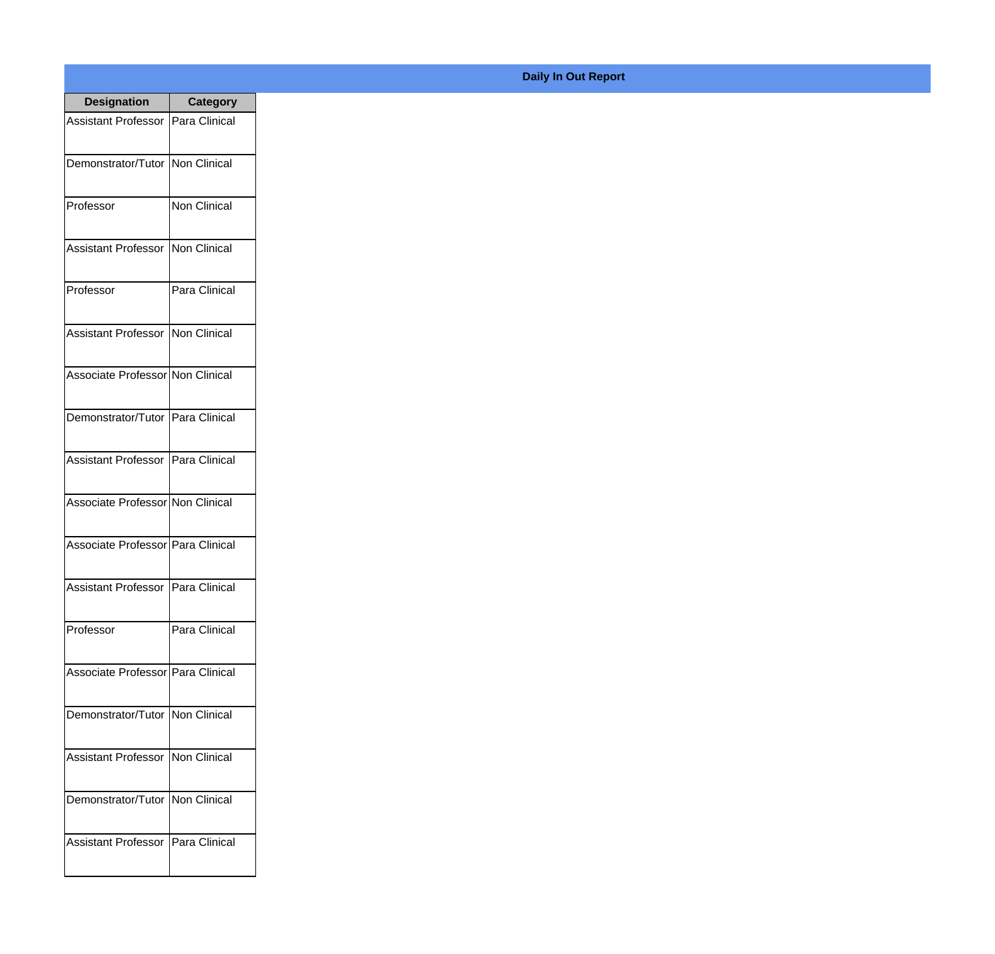| <b>Designation</b>                  | <b>Category</b> |
|-------------------------------------|-----------------|
| <b>Assistant Professor</b>          | Para Clinical   |
| Demonstrator/Tutor   Non Clinical   |                 |
| Professor                           | Non Clinical    |
| <b>Assistant Professor</b>          | Non Clinical    |
| Professor                           | Para Clinical   |
| Assistant Professor Non Clinical    |                 |
| Associate Professor Non Clinical    |                 |
| Demonstrator/Tutor   Para Clinical  |                 |
| Assistant Professor   Para Clinical |                 |
| Associate Professor Non Clinical    |                 |
| Associate Professor Para Clinical   |                 |
| Assistant Professor   Para Clinical |                 |
| Professor                           | Para Clinical   |
| Associate Professor Para Clinical   |                 |
| Demonstrator/Tutor   Non Clinical   |                 |
| <b>Assistant Professor</b>          | Non Clinical    |
| Demonstrator/Tutor                  | Non Clinical    |
| <b>Assistant Professor</b>          | Para Clinical   |

## **Daily In Out Report**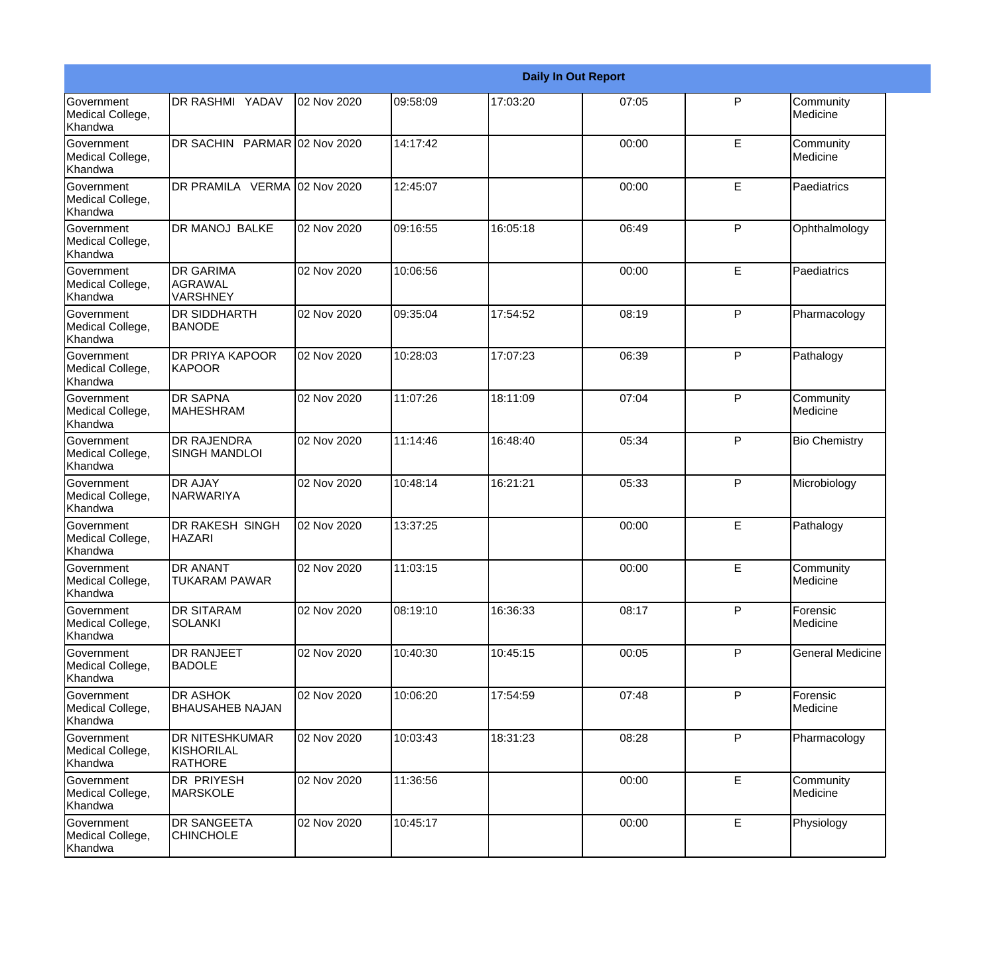|                                                  |                                                       |             |          |          | <b>Daily In Out Report</b> |              |                         |
|--------------------------------------------------|-------------------------------------------------------|-------------|----------|----------|----------------------------|--------------|-------------------------|
| Government<br>Medical College,<br>Khandwa        | DR RASHMI YADAV                                       | 02 Nov 2020 | 09:58:09 | 17:03:20 | 07:05                      | $\mathsf{P}$ | Community<br>Medicine   |
| Government<br>Medical College,<br>Khandwa        | DR SACHIN PARMAR 02 Nov 2020                          |             | 14:17:42 |          | 00:00                      | E            | Community<br>Medicine   |
| <b>Government</b><br>Medical College,<br>Khandwa | DR PRAMILA VERMA 02 Nov 2020                          |             | 12:45:07 |          | 00:00                      | E            | Paediatrics             |
| <b>Government</b><br>Medical College,<br>Khandwa | DR MANOJ BALKE                                        | 02 Nov 2020 | 09:16:55 | 16:05:18 | 06:49                      | $\mathsf{P}$ | Ophthalmology           |
| <b>Government</b><br>Medical College,<br>Khandwa | <b>DR GARIMA</b><br><b>AGRAWAL</b><br><b>VARSHNEY</b> | 02 Nov 2020 | 10:06:56 |          | 00:00                      | E            | Paediatrics             |
| Government<br>Medical College,<br>Khandwa        | DR SIDDHARTH<br><b>BANODE</b>                         | 02 Nov 2020 | 09:35:04 | 17:54:52 | 08:19                      | $\mathsf{P}$ | Pharmacology            |
| <b>Government</b><br>Medical College,<br>Khandwa | <b>DR PRIYA KAPOOR</b><br><b>KAPOOR</b>               | 02 Nov 2020 | 10:28:03 | 17:07:23 | 06:39                      | $\mathsf{P}$ | Pathalogy               |
| <b>Government</b><br>Medical College,<br>Khandwa | <b>DR SAPNA</b><br><b>MAHESHRAM</b>                   | 02 Nov 2020 | 11:07:26 | 18:11:09 | 07:04                      | $\mathsf{P}$ | Community<br>Medicine   |
| Government<br>Medical College,<br>Khandwa        | <b>DR RAJENDRA</b><br><b>SINGH MANDLOI</b>            | 02 Nov 2020 | 11:14:46 | 16:48:40 | 05:34                      | P            | <b>Bio Chemistry</b>    |
| Government<br>Medical College,<br>Khandwa        | <b>DR AJAY</b><br><b>NARWARIYA</b>                    | 02 Nov 2020 | 10:48:14 | 16:21:21 | 05:33                      | $\mathsf{P}$ | Microbiology            |
| <b>Government</b><br>Medical College,<br>Khandwa | <b>DR RAKESH SINGH</b><br><b>HAZARI</b>               | 02 Nov 2020 | 13:37:25 |          | 00:00                      | E            | Pathalogy               |
| Government<br>Medical College,<br>Khandwa        | DR ANANT<br><b>TUKARAM PAWAR</b>                      | 02 Nov 2020 | 11:03:15 |          | 00:00                      | E            | Community<br>Medicine   |
| Government<br>Medical College,<br>Khandwa        | DR SITARAM<br><b>SOLANKI</b>                          | 02 Nov 2020 | 08:19:10 | 16:36:33 | 08:17                      | $\mathsf{P}$ | Forensic<br>Medicine    |
| <b>Government</b><br>Medical College,<br>Khandwa | DR RANJEET<br><b>BADOLE</b>                           | 02 Nov 2020 | 10:40:30 | 10:45:15 | 00:05                      | P            | <b>General Medicine</b> |
| Government<br>Medical College,<br>Khandwa        | <b>DR ASHOK</b><br><b>BHAUSAHEB NAJAN</b>             | 02 Nov 2020 | 10:06:20 | 17:54:59 | 07:48                      | $\mathsf{P}$ | Forensic<br>Medicine    |
| Government<br>Medical College,<br>Khandwa        | DR NITESHKUMAR<br>KISHORILAL<br><b>RATHORE</b>        | 02 Nov 2020 | 10:03:43 | 18:31:23 | 08:28                      | P            | Pharmacology            |
| Government<br>Medical College,<br>Khandwa        | <b>DR PRIYESH</b><br><b>MARSKOLE</b>                  | 02 Nov 2020 | 11:36:56 |          | 00:00                      | E            | Community<br>Medicine   |
| Government<br>Medical College,<br>Khandwa        | DR SANGEETA<br><b>CHINCHOLE</b>                       | 02 Nov 2020 | 10:45:17 |          | 00:00                      | E            | Physiology              |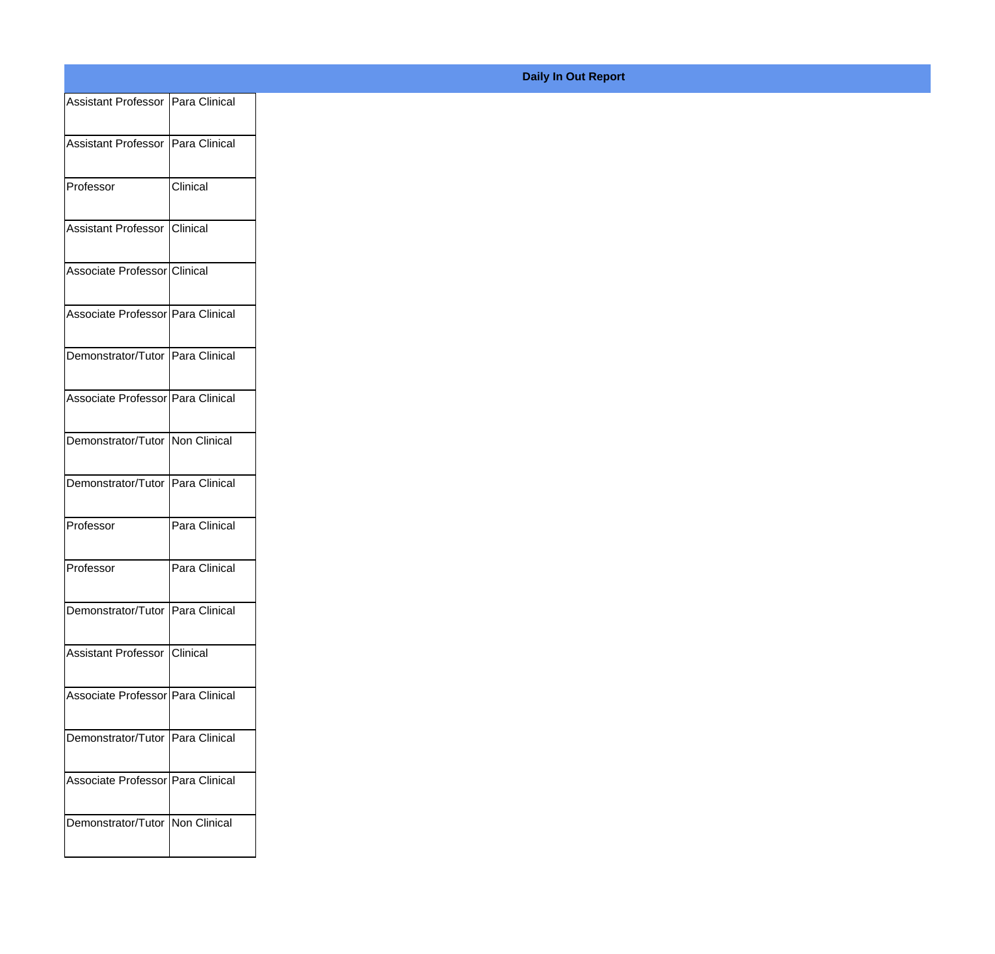| Assistant Professor Para Clinical   |
|-------------------------------------|
| Assistant Professor   Para Clinical |
|                                     |
| Clinical                            |
| <b>Clinical</b>                     |
| Associate Professor Clinical        |
| Associate Professor Para Clinical   |
| Demonstrator/Tutor Para Clinical    |
| Associate Professor Para Clinical   |
| Demonstrator/Tutor Non Clinical     |
|                                     |
| Demonstrator/Tutor Para Clinical    |
| Para Clinical                       |
| Para Clinical                       |
| Demonstrator/Tutor Para Clinical    |
| Assistant Professor Clinical        |
| Associate Professor Para Clinical   |
|                                     |
| Demonstrator/Tutor Para Clinical    |
| Associate Professor Para Clinical   |
| Demonstrator/Tutor Non Clinical     |
|                                     |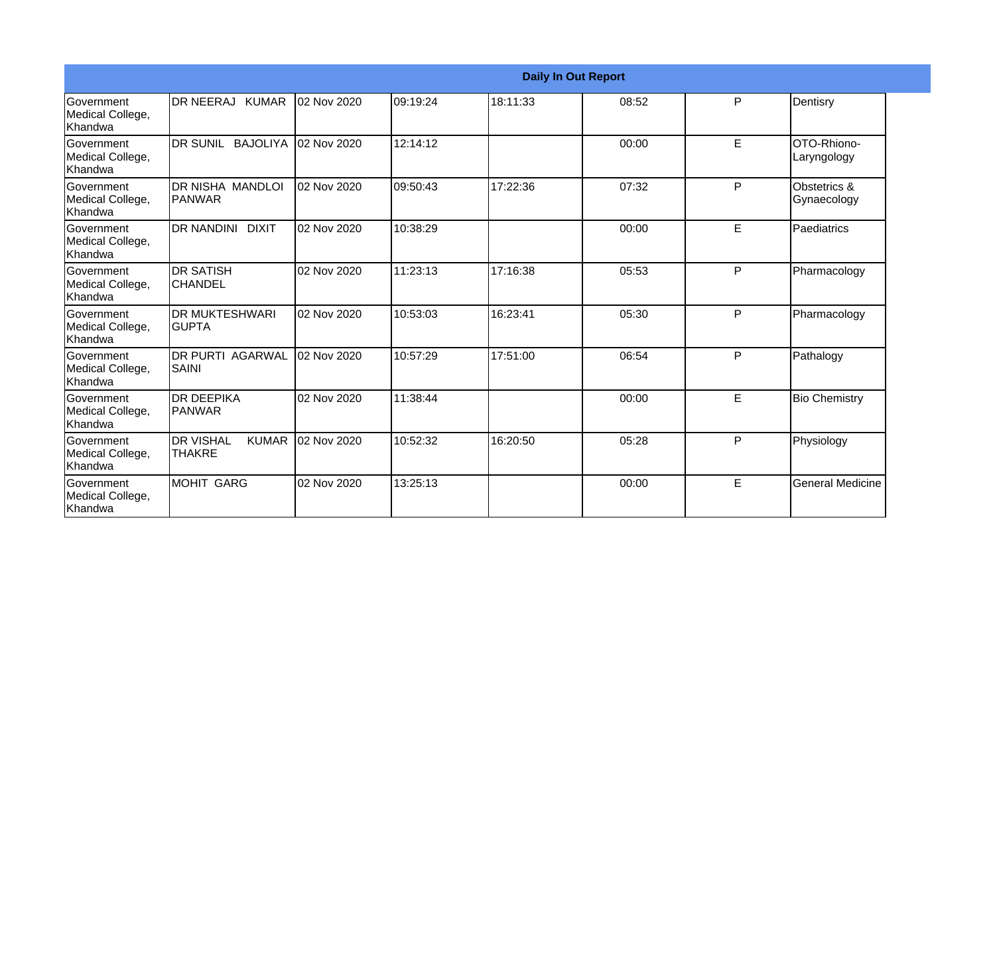|                                                         |                                                   |             |          |          | <b>Daily In Out Report</b> |   |                             |
|---------------------------------------------------------|---------------------------------------------------|-------------|----------|----------|----------------------------|---|-----------------------------|
| <b>Government</b><br>Medical College,<br><b>Khandwa</b> | DR NEERAJ KUMAR                                   | 02 Nov 2020 | 09:19:24 | 18:11:33 | 08:52                      | P | Dentisry                    |
| Government<br>Medical College,<br>Khandwa               | DR SUNIL BAJOLIYA                                 | 02 Nov 2020 | 12:14:12 |          | 00:00                      | E | OTO-Rhiono-<br>Laryngology  |
| Government<br>Medical College,<br>Khandwa               | IDR NISHA MANDLOI<br>IPANWAR                      | 02 Nov 2020 | 09:50:43 | 17:22:36 | 07:32                      | P | Obstetrics &<br>Gynaecology |
| Government<br>Medical College,<br>Khandwa               | <b>DR NANDINI DIXIT</b>                           | 02 Nov 2020 | 10:38:29 |          | 00:00                      | E | Paediatrics                 |
| Government<br>Medical College,<br>Khandwa               | IDR SATISH<br><b>CHANDEL</b>                      | 02 Nov 2020 | 11:23:13 | 17:16:38 | 05:53                      | P | Pharmacology                |
| <b>Sovernment</b><br>Medical College,<br>Khandwa        | <b>DR MUKTESHWARI</b><br>IGUPTA                   | 02 Nov 2020 | 10:53:03 | 16:23:41 | 05:30                      | P | Pharmacology                |
| Government<br>Medical College,<br>Khandwa               | IDR PURTI AGARWAL<br><b>SAINI</b>                 | 02 Nov 2020 | 10:57:29 | 17:51:00 | 06:54                      | P | Pathalogy                   |
| Government<br>Medical College,<br>Khandwa               | IDR DEEPIKA<br><b>PANWAR</b>                      | 02 Nov 2020 | 11:38:44 |          | 00:00                      | E | <b>Bio Chemistry</b>        |
| Government<br>Medical College,<br>Khandwa               | <b>DR VISHAL</b><br><b>KUMAR</b><br><b>THAKRE</b> | 02 Nov 2020 | 10:52:32 | 16:20:50 | 05:28                      | P | Physiology                  |
| Government<br>Medical College,<br>Khandwa               | MOHIT GARG                                        | 02 Nov 2020 | 13:25:13 |          | 00:00                      | E | <b>General Medicine</b>     |